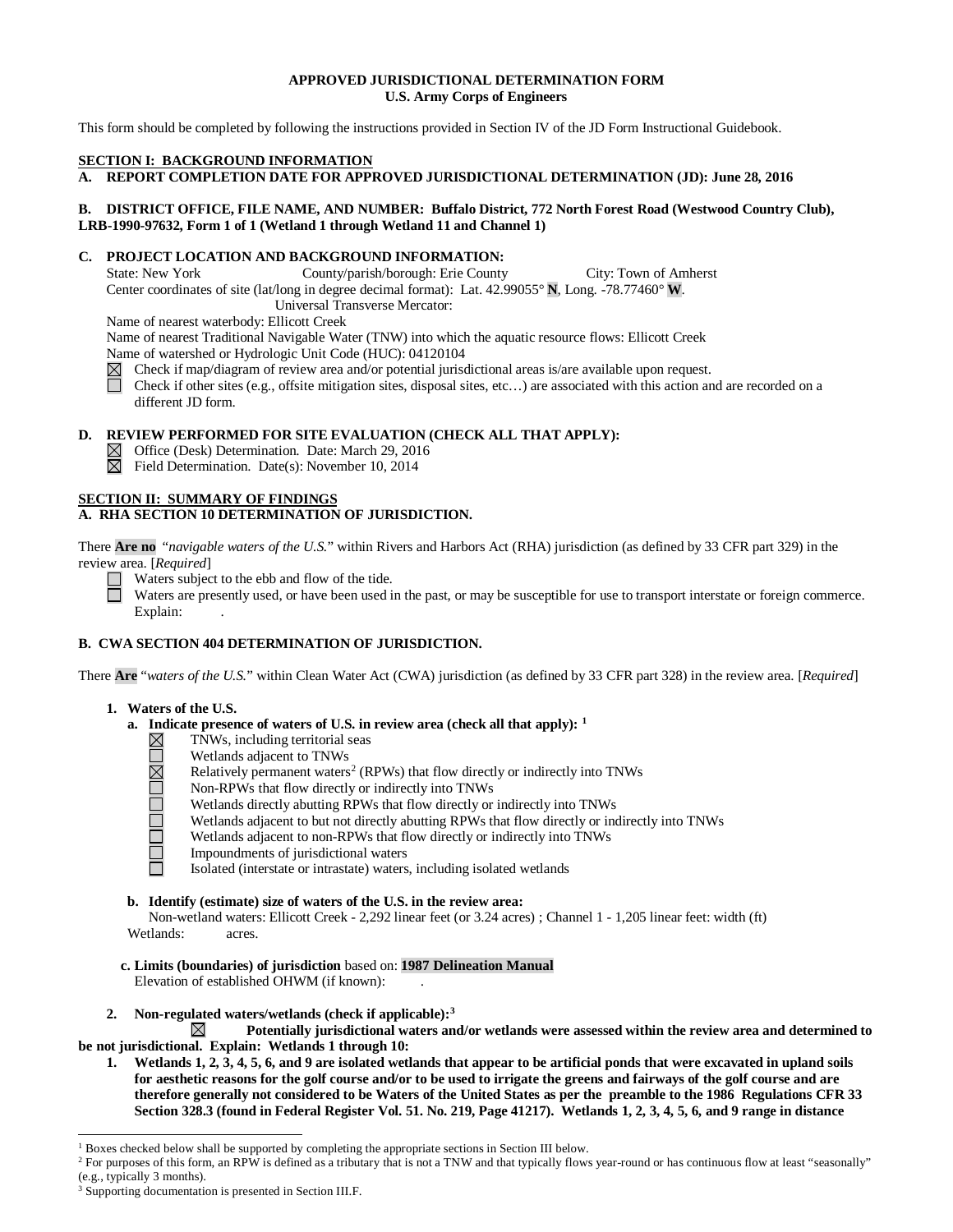# **APPROVED JURISDICTIONAL DETERMINATION FORM U.S. Army Corps of Engineers**

This form should be completed by following the instructions provided in Section IV of the JD Form Instructional Guidebook.

## **SECTION I: BACKGROUND INFORMATION**

**A. REPORT COMPLETION DATE FOR APPROVED JURISDICTIONAL DETERMINATION (JD): June 28, 2016** 

# **B. DISTRICT OFFICE, FILE NAME, AND NUMBER: Buffalo District, 772 North Forest Road (Westwood Country Club), LRB-1990-97632, Form 1 of 1 (Wetland 1 through Wetland 11 and Channel 1)**

# **C. PROJECT LOCATION AND BACKGROUND INFORMATION:**<br>State: New York County/parish/borough: Erie County

County/parish/borough: Erie County City: Town of Amherst Center coordinates of site (lat/long in degree decimal format): Lat. 42.99055° **N**, Long. -78.77460° **W**. Universal Transverse Mercator:

Name of nearest waterbody: Ellicott Creek

Name of nearest Traditional Navigable Water (TNW) into which the aquatic resource flows: Ellicott Creek Name of watershed or Hydrologic Unit Code (HUC): 04120104

- Check if map/diagram of review area and/or potential jurisdictional areas is/are available upon request.<br>
Check if other sites (e.g., offsite mitigation sites, disposal sites, etc...) are associated with this action an
- Check if other sites (e.g., offsite mitigation sites, disposal sites, etc…) are associated with this action and are recorded on a different JD form.

# **D. REVIEW PERFORMED FOR SITE EVALUATION (CHECK ALL THAT APPLY):**

- $\boxtimes$  Office (Desk) Determination. Date: March 29, 2016
- $\boxtimes$  Field Determination. Date(s): November 10, 2014

#### **SECTION II: SUMMARY OF FINDINGS A. RHA SECTION 10 DETERMINATION OF JURISDICTION.**

There **Are no** "*navigable waters of the U.S.*" within Rivers and Harbors Act (RHA) jurisdiction (as defined by 33 CFR part 329) in the review area. [*Required*]

 $\Box$  Waters subject to the ebb and flow of the tide.

Waters are presently used, or have been used in the past, or may be susceptible for use to transport interstate or foreign commerce. Explain:

# **B. CWA SECTION 404 DETERMINATION OF JURISDICTION.**

There **Are** "*waters of the U.S.*" within Clean Water Act (CWA) jurisdiction (as defined by 33 CFR part 328) in the review area. [*Required*]

- **1. Waters of the U.S.**
	- **a. Indicate presence of waters of U.S. in review area (check all that apply): [1](#page-0-0)**
		- TNWs, including territorial seas  $\boxtimes$ 
			- Wetlands adjacent to TNWs
			- Relatively permanent waters<sup>[2](#page-0-1)</sup> (RPWs) that flow directly or indirectly into TNWs
		- <u> DEL PLOPE</u> Non-RPWs that flow directly or indirectly into TNWs
			- Wetlands directly abutting RPWs that flow directly or indirectly into TNWs
			- Wetlands adjacent to but not directly abutting RPWs that flow directly or indirectly into TNWs
			- Wetlands adjacent to non-RPWs that flow directly or indirectly into TNWs
			- Impoundments of jurisdictional waters
			- Isolated (interstate or intrastate) waters, including isolated wetlands

## **b. Identify (estimate) size of waters of the U.S. in the review area:**

Non-wetland waters: Ellicott Creek - 2,292 linear feet (or 3.24 acres) ; Channel 1 - 1,205 linear feet: width (ft) Wetlands: acres.

- **c. Limits (boundaries) of jurisdiction** based on: **1987 Delineation Manual** Elevation of established OHWM (if known):
- **2. Non-regulated waters/wetlands (check if applicable)[:3](#page-0-2)**

 $\boxtimes$ **Potentially jurisdictional waters and/or wetlands were assessed within the review area and determined to be not jurisdictional. Explain: Wetlands 1 through 10:** 

**1. Wetlands 1, 2, 3, 4, 5, 6, and 9 are isolated wetlands that appear to be artificial ponds that were excavated in upland soils for aesthetic reasons for the golf course and/or to be used to irrigate the greens and fairways of the golf course and are therefore generally not considered to be Waters of the United States as per the preamble to the 1986 Regulations CFR 33 Section 328.3 (found in Federal Register Vol. 51. No. 219, Page 41217). Wetlands 1, 2, 3, 4, 5, 6, and 9 range in distance** 

<span id="page-0-0"></span> <sup>1</sup> Boxes checked below shall be supported by completing the appropriate sections in Section III below.

<span id="page-0-1"></span><sup>&</sup>lt;sup>2</sup> For purposes of this form, an RPW is defined as a tributary that is not a TNW and that typically flows year-round or has continuous flow at least "seasonally" (e.g., typically 3 months).

<span id="page-0-2"></span><sup>&</sup>lt;sup>3</sup> Supporting documentation is presented in Section III.F.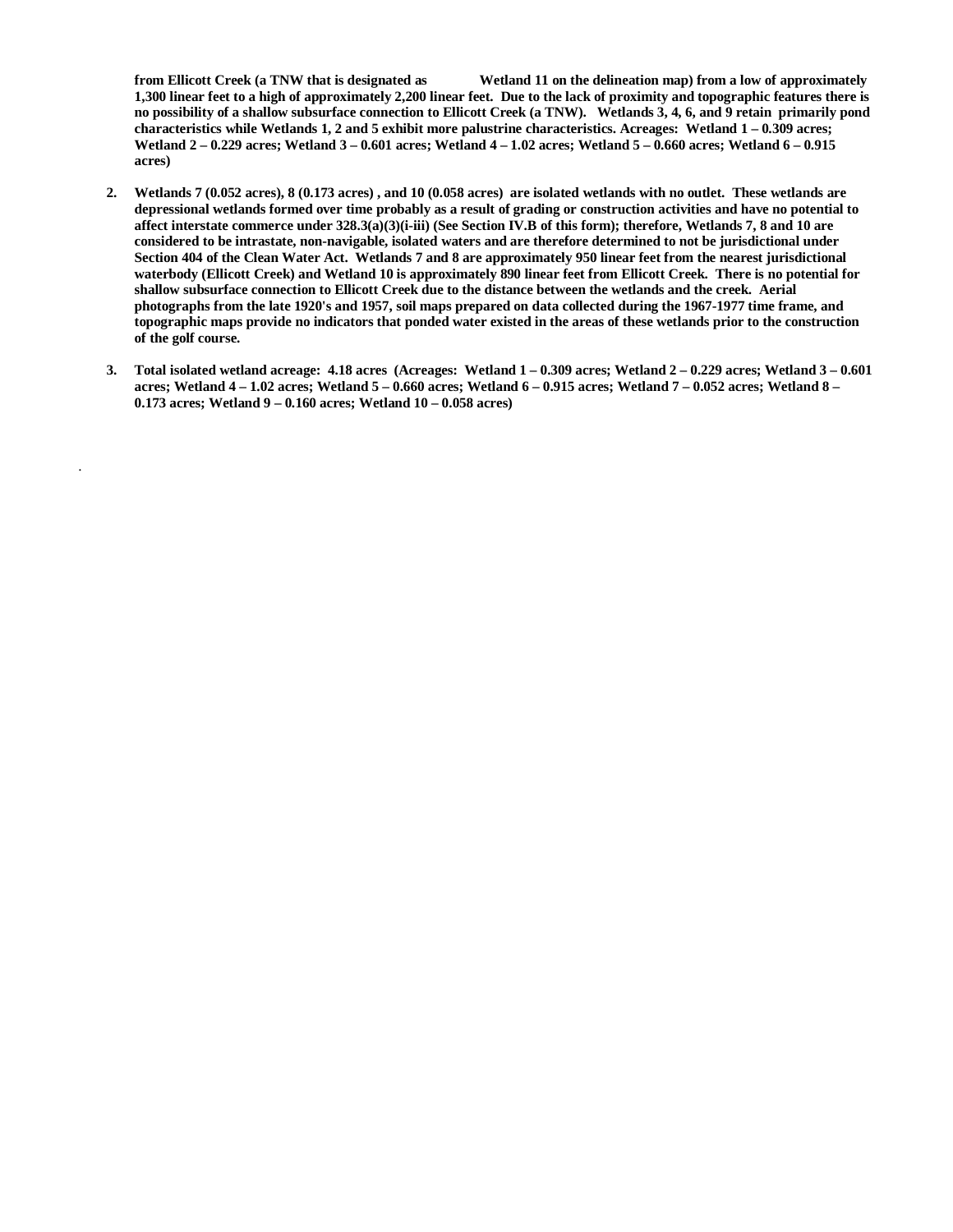**from Ellicott Creek (a TNW that is designated as Wetland 11 on the delineation map) from a low of approximately 1,300 linear feet to a high of approximately 2,200 linear feet. Due to the lack of proximity and topographic features there is no possibility of a shallow subsurface connection to Ellicott Creek (a TNW). Wetlands 3, 4, 6, and 9 retain primarily pond characteristics while Wetlands 1, 2 and 5 exhibit more palustrine characteristics. Acreages: Wetland 1 – 0.309 acres; Wetland 2 – 0.229 acres; Wetland 3 – 0.601 acres; Wetland 4 – 1.02 acres; Wetland 5 – 0.660 acres; Wetland 6 – 0.915 acres)**

- **2. Wetlands 7 (0.052 acres), 8 (0.173 acres) , and 10 (0.058 acres) are isolated wetlands with no outlet. These wetlands are depressional wetlands formed over time probably as a result of grading or construction activities and have no potential to affect interstate commerce under 328.3(a)(3)(i-iii) (See Section IV.B of this form); therefore, Wetlands 7, 8 and 10 are considered to be intrastate, non-navigable, isolated waters and are therefore determined to not be jurisdictional under Section 404 of the Clean Water Act. Wetlands 7 and 8 are approximately 950 linear feet from the nearest jurisdictional waterbody (Ellicott Creek) and Wetland 10 is approximately 890 linear feet from Ellicott Creek. There is no potential for shallow subsurface connection to Ellicott Creek due to the distance between the wetlands and the creek. Aerial photographs from the late 1920's and 1957, soil maps prepared on data collected during the 1967-1977 time frame, and topographic maps provide no indicators that ponded water existed in the areas of these wetlands prior to the construction of the golf course.**
- **3. Total isolated wetland acreage: 4.18 acres (Acreages: Wetland 1 – 0.309 acres; Wetland 2 – 0.229 acres; Wetland 3 – 0.601 acres; Wetland 4 – 1.02 acres; Wetland 5 – 0.660 acres; Wetland 6 – 0.915 acres; Wetland 7 – 0.052 acres; Wetland 8 – 0.173 acres; Wetland 9 – 0.160 acres; Wetland 10 – 0.058 acres)**

.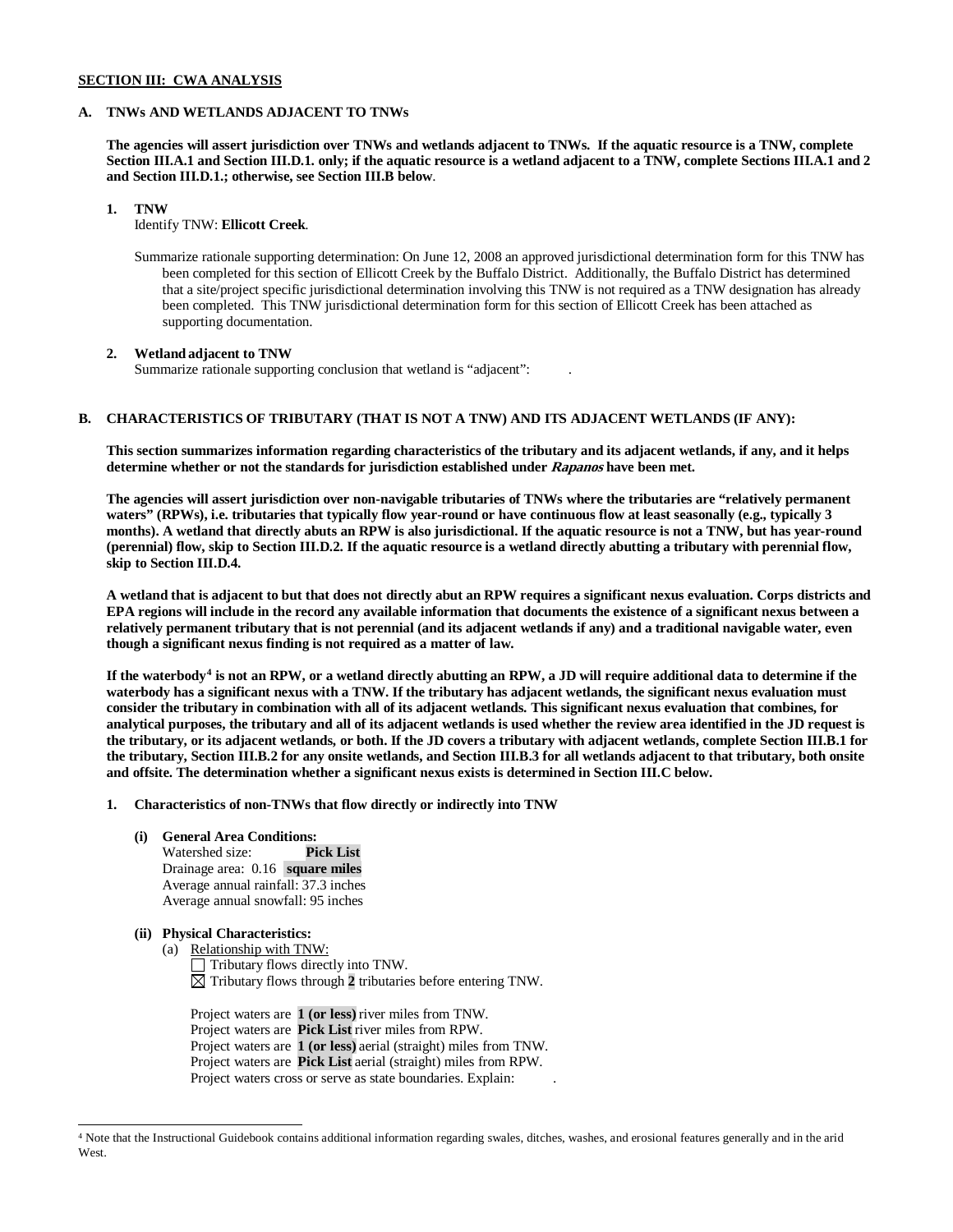## **SECTION III: CWA ANALYSIS**

## **A. TNWs AND WETLANDS ADJACENT TO TNWs**

**The agencies will assert jurisdiction over TNWs and wetlands adjacent to TNWs. If the aquatic resource is a TNW, complete Section III.A.1 and Section III.D.1. only; if the aquatic resource is a wetland adjacent to a TNW, complete Sections III.A.1 and 2 and Section III.D.1.; otherwise, see Section III.B below**.

# **1. TNW**

Identify TNW: **Ellicott Creek**.

Summarize rationale supporting determination: On June 12, 2008 an approved jurisdictional determination form for this TNW has been completed for this section of Ellicott Creek by the Buffalo District. Additionally, the Buffalo District has determined that a site/project specific jurisdictional determination involving this TNW is not required as a TNW designation has already been completed. This TNW jurisdictional determination form for this section of Ellicott Creek has been attached as supporting documentation.

## **2. Wetland adjacent to TNW**

Summarize rationale supporting conclusion that wetland is "adjacent": .

# **B. CHARACTERISTICS OF TRIBUTARY (THAT IS NOT A TNW) AND ITS ADJACENT WETLANDS (IF ANY):**

**This section summarizes information regarding characteristics of the tributary and its adjacent wetlands, if any, and it helps determine whether or not the standards for jurisdiction established under Rapanos have been met.** 

**The agencies will assert jurisdiction over non-navigable tributaries of TNWs where the tributaries are "relatively permanent waters" (RPWs), i.e. tributaries that typically flow year-round or have continuous flow at least seasonally (e.g., typically 3 months). A wetland that directly abuts an RPW is also jurisdictional. If the aquatic resource is not a TNW, but has year-round (perennial) flow, skip to Section III.D.2. If the aquatic resource is a wetland directly abutting a tributary with perennial flow, skip to Section III.D.4.**

**A wetland that is adjacent to but that does not directly abut an RPW requires a significant nexus evaluation. Corps districts and EPA regions will include in the record any available information that documents the existence of a significant nexus between a relatively permanent tributary that is not perennial (and its adjacent wetlands if any) and a traditional navigable water, even though a significant nexus finding is not required as a matter of law.**

**If the waterbody[4](#page-2-0) is not an RPW, or a wetland directly abutting an RPW, a JD will require additional data to determine if the waterbody has a significant nexus with a TNW. If the tributary has adjacent wetlands, the significant nexus evaluation must consider the tributary in combination with all of its adjacent wetlands. This significant nexus evaluation that combines, for analytical purposes, the tributary and all of its adjacent wetlands is used whether the review area identified in the JD request is the tributary, or its adjacent wetlands, or both. If the JD covers a tributary with adjacent wetlands, complete Section III.B.1 for the tributary, Section III.B.2 for any onsite wetlands, and Section III.B.3 for all wetlands adjacent to that tributary, both onsite and offsite. The determination whether a significant nexus exists is determined in Section III.C below.**

- **1. Characteristics of non-TNWs that flow directly or indirectly into TNW**
	- **(i) General Area Conditions:**

Watershed size: **Pick List** Drainage area: 0.16 **square miles** Average annual rainfall: 37.3 inches Average annual snowfall: 95 inches

- **(ii) Physical Characteristics:**
	- (a) Relationship with TNW:  $\Box$  Tributary flows directly into TNW.  $\boxtimes$  Tributary flows through 2 tributaries before entering TNW.

Project waters are **1 (or less)** river miles from TNW. Project waters are **Pick List** river miles from RPW. Project waters are **1 (or less)** aerial (straight) miles from TNW. Project waters are **Pick List** aerial (straight) miles from RPW. Project waters cross or serve as state boundaries. Explain:

<span id="page-2-0"></span> <sup>4</sup> Note that the Instructional Guidebook contains additional information regarding swales, ditches, washes, and erosional features generally and in the arid West.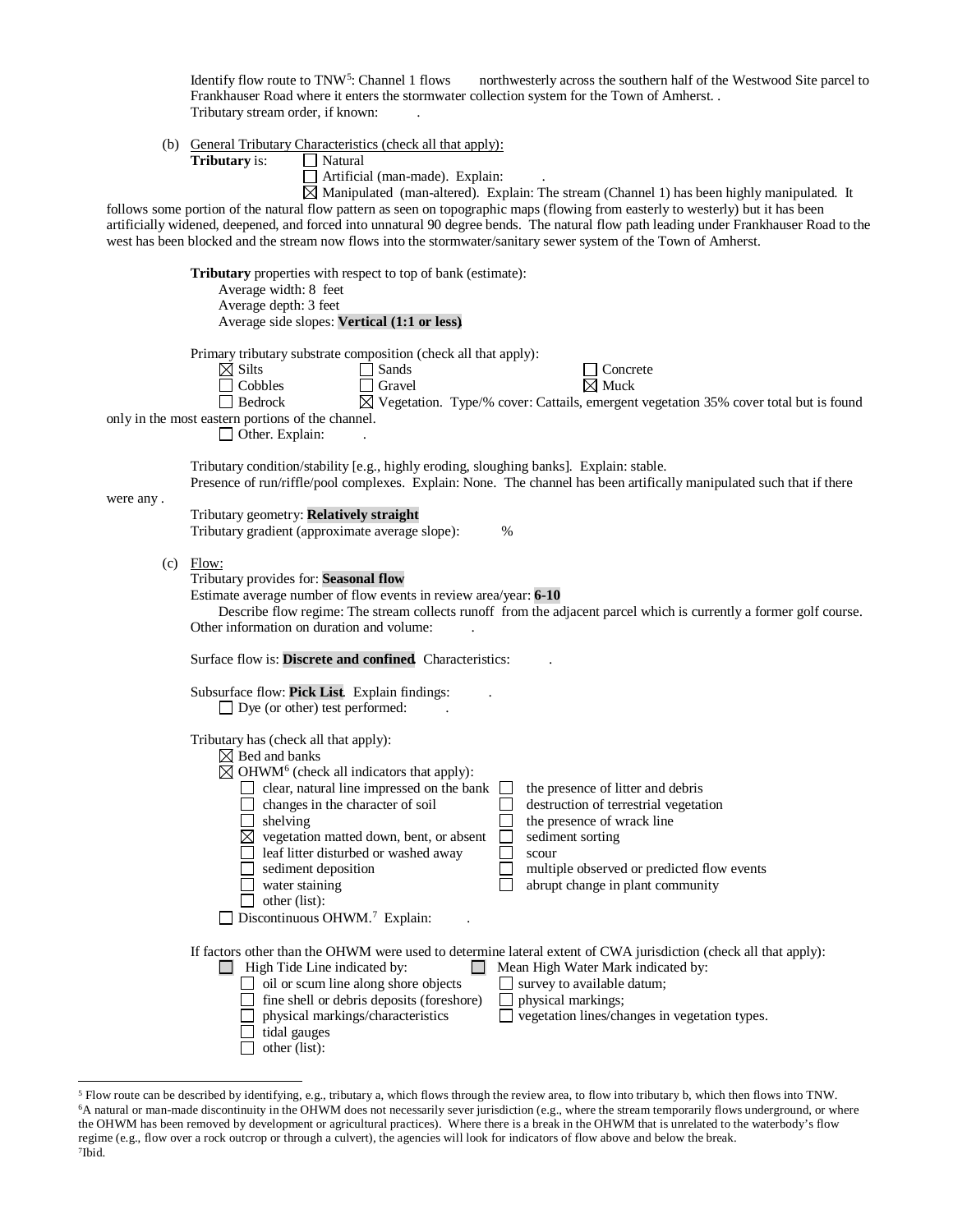Identify flow route to TNW<sup>[5](#page-3-0)</sup>: Channel 1 flows northwesterly across the southern half of the Westwood Site parcel to Frankhauser Road where it enters the stormwater collection system for the Town of Amherst. . Tributary stream order, if known: .

(b) General Tributary Characteristics (check all that apply)

| (b)       | General Tributary Characteristics (check all that apply):<br>Tributary is:<br>Natural                                                                                                                                                                                                                                                                                                                                                                                                                                                                                                                                                                                |
|-----------|----------------------------------------------------------------------------------------------------------------------------------------------------------------------------------------------------------------------------------------------------------------------------------------------------------------------------------------------------------------------------------------------------------------------------------------------------------------------------------------------------------------------------------------------------------------------------------------------------------------------------------------------------------------------|
|           | Artificial (man-made). Explain:<br>$\boxtimes$ Manipulated (man-altered). Explain: The stream (Channel 1) has been highly manipulated. It                                                                                                                                                                                                                                                                                                                                                                                                                                                                                                                            |
|           | follows some portion of the natural flow pattern as seen on topographic maps (flowing from easterly to westerly) but it has been<br>artificially widened, deepened, and forced into unnatural 90 degree bends. The natural flow path leading under Frankhauser Road to the<br>west has been blocked and the stream now flows into the stormwater/sanitary sewer system of the Town of Amherst.                                                                                                                                                                                                                                                                       |
|           | Tributary properties with respect to top of bank (estimate):<br>Average width: 8 feet<br>Average depth: 3 feet<br>Average side slopes: Vertical (1:1 or less)                                                                                                                                                                                                                                                                                                                                                                                                                                                                                                        |
|           | Primary tributary substrate composition (check all that apply):<br>$\boxtimes$ Silts<br>Sands<br>Concrete<br>$\boxtimes$ Muck<br>Cobbles<br>Gravel<br>$\boxtimes$ Vegetation. Type/% cover: Cattails, emergent vegetation 35% cover total but is found<br>Bedrock<br>only in the most eastern portions of the channel.<br>Other. Explain:                                                                                                                                                                                                                                                                                                                            |
| were any. | Tributary condition/stability [e.g., highly eroding, sloughing banks]. Explain: stable.<br>Presence of run/riffle/pool complexes. Explain: None. The channel has been artifically manipulated such that if there                                                                                                                                                                                                                                                                                                                                                                                                                                                     |
|           | Tributary geometry: Relatively straight<br>Tributary gradient (approximate average slope):<br>%                                                                                                                                                                                                                                                                                                                                                                                                                                                                                                                                                                      |
|           | $(c)$ Flow:<br>Tributary provides for: Seasonal flow<br>Estimate average number of flow events in review area/year: 6-10<br>Describe flow regime: The stream collects runoff from the adjacent parcel which is currently a former golf course.<br>Other information on duration and volume:                                                                                                                                                                                                                                                                                                                                                                          |
|           | Surface flow is: Discrete and confined. Characteristics:                                                                                                                                                                                                                                                                                                                                                                                                                                                                                                                                                                                                             |
|           | Subsurface flow: Pick List. Explain findings:<br>$\Box$ Dye (or other) test performed:                                                                                                                                                                                                                                                                                                                                                                                                                                                                                                                                                                               |
|           | Tributary has (check all that apply):<br>$\boxtimes$ Bed and banks<br>$\boxtimes$ OHWM <sup>6</sup> (check all indicators that apply):<br>clear, natural line impressed on the bank<br>the presence of litter and debris<br>changes in the character of soil<br>destruction of terrestrial vegetation<br>shelving<br>the presence of wrack line<br>vegetation matted down, bent, or absent<br>⊠<br>sediment sorting<br>leaf litter disturbed or washed away<br>scour<br>sediment deposition<br>multiple observed or predicted flow events<br>water staining<br>abrupt change in plant community<br>other (list):<br>$\Box$ Discontinuous OHWM. <sup>7</sup> Explain: |
|           | If factors other than the OHWM were used to determine lateral extent of CWA jurisdiction (check all that apply):                                                                                                                                                                                                                                                                                                                                                                                                                                                                                                                                                     |
|           | $\Box$ High Tide Line indicated by:<br>Mean High Water Mark indicated by:<br>$\mathbf{1}$<br>oil or scum line along shore objects<br>survey to available datum;<br>fine shell or debris deposits (foreshore)<br>physical markings;<br>physical markings/characteristics<br>$\Box$ vegetation lines/changes in vegetation types.<br>tidal gauges<br>other (list):                                                                                                                                                                                                                                                                                                     |

<span id="page-3-2"></span><span id="page-3-1"></span><span id="page-3-0"></span> <sup>5</sup> Flow route can be described by identifying, e.g., tributary a, which flows through the review area, to flow into tributary b, which then flows into TNW. <sup>6</sup>A natural or man-made discontinuity in the OHWM does not necessarily sever jurisdiction (e.g., where the stream temporarily flows underground, or where the OHWM has been removed by development or agricultural practices). Where there is a break in the OHWM that is unrelated to the waterbody's flow regime (e.g., flow over a rock outcrop or through a culvert), the agencies will look for indicators of flow above and below the break. 7Ibid.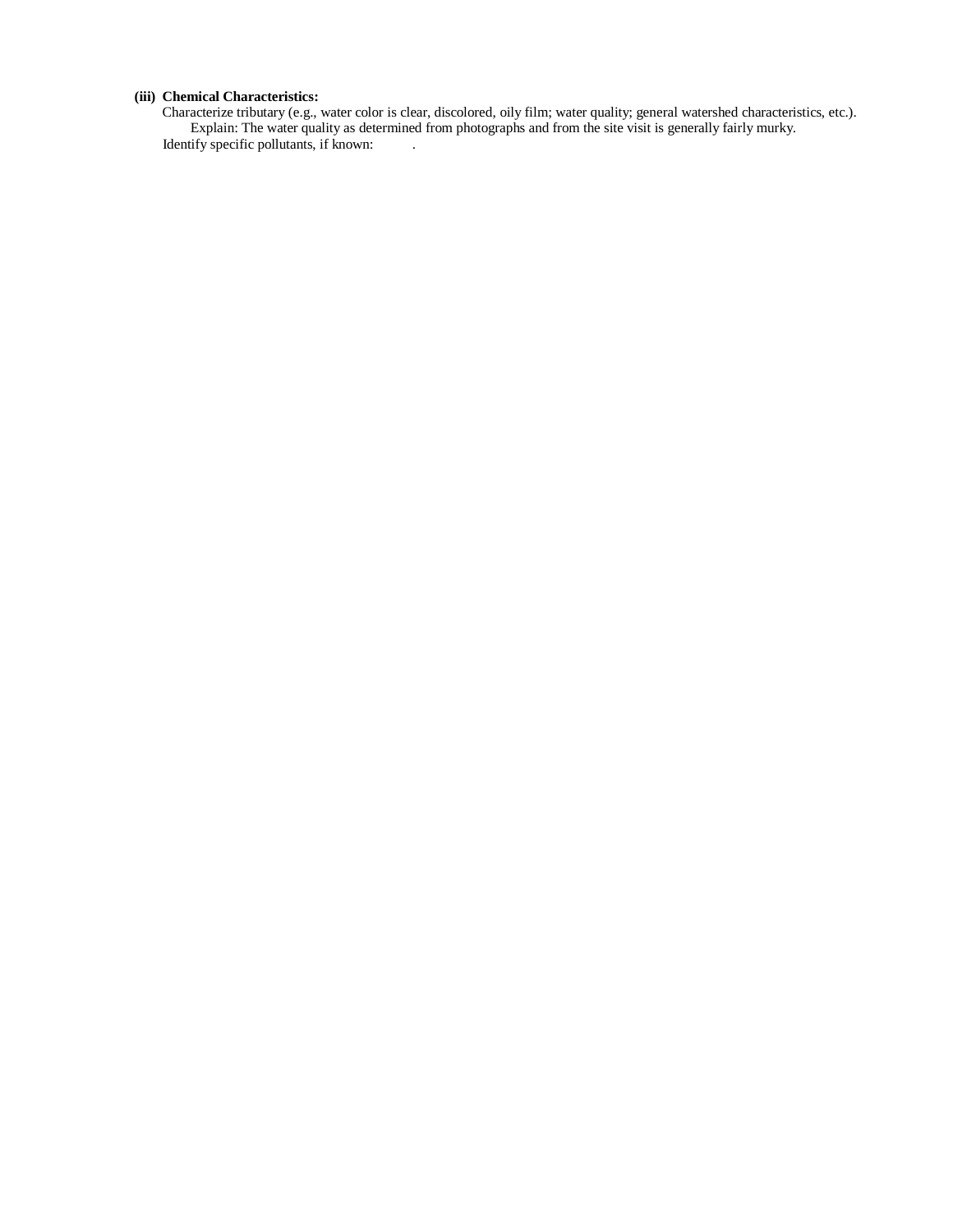# **(iii) Chemical Characteristics:**

Characterize tributary (e.g., water color is clear, discolored, oily film; water quality; general watershed characteristics, etc.). Explain: The water quality as determined from photographs and from the site visit is generally fairly murky. Identify specific pollutants, if known: .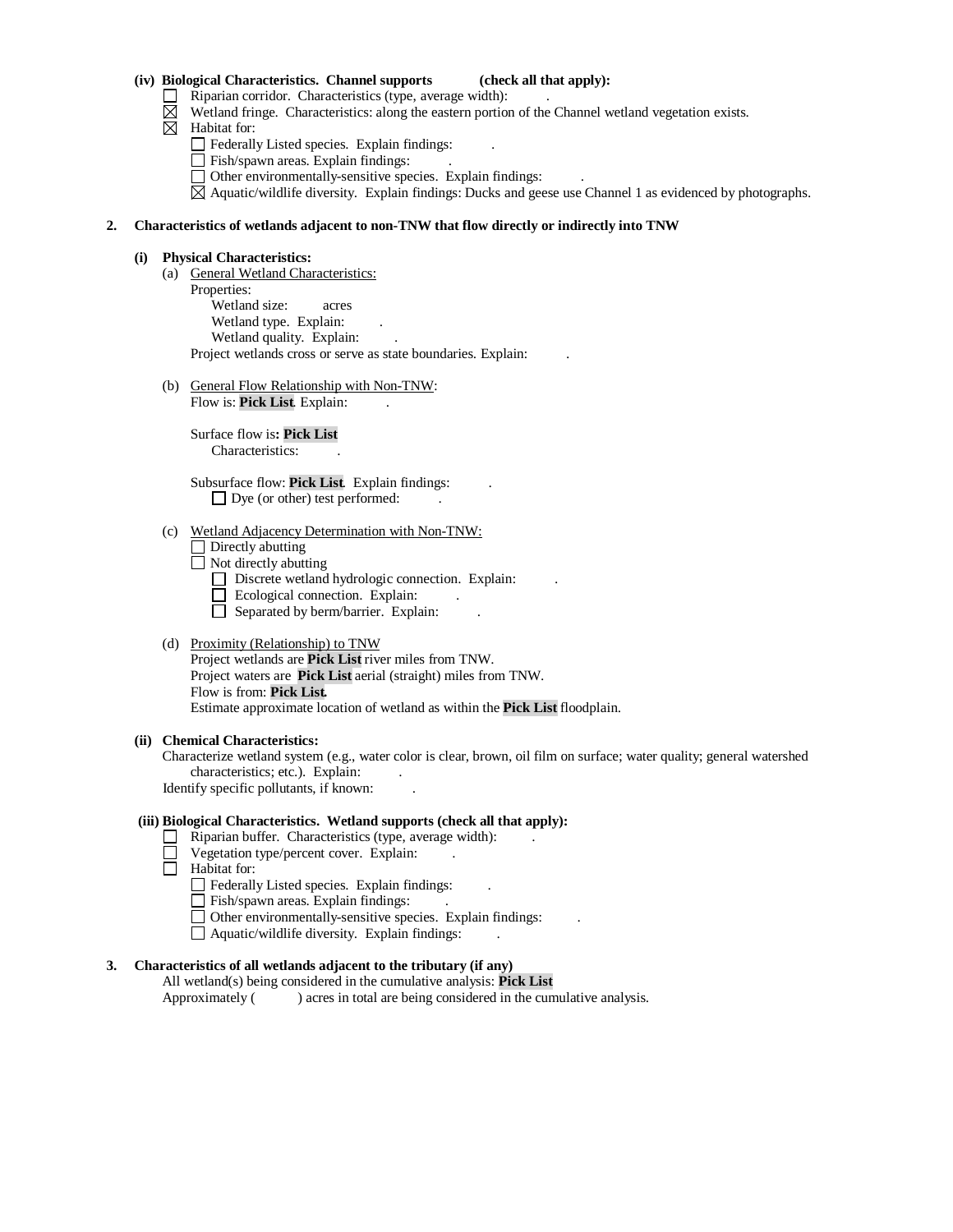#### **(iv) Biological Characteristics. Channel supports (check all that apply):**

- $\Box$  Riparian corridor. Characteristics (type, average width):
- $\boxtimes$  Wetland fringe. Characteristics: along the eastern portion of the Channel wetland vegetation exists.
- $\boxtimes$  Habitat for:
	- Federally Listed species. Explain findings: .
	- Fish/spawn areas. Explain findings:
	- Other environmentally-sensitive species. Explain findings: .
	- $\boxtimes$  Aquatic/wildlife diversity. Explain findings: Ducks and geese use Channel 1 as evidenced by photographs.

#### **2. Characteristics of wetlands adjacent to non-TNW that flow directly or indirectly into TNW**

#### **(i) Physical Characteristics:**

- (a) General Wetland Characteristics: Properties: Wetland size: acres Wetland type. Explain: Wetland quality. Explain: Project wetlands cross or serve as state boundaries. Explain: .
- (b) General Flow Relationship with Non-TNW: Flow is: **Pick List**. Explain:

Surface flow is**: Pick List**  Characteristics: .

Subsurface flow: **Pick List**. Explain findings: .  $\Box$  Dye (or other) test performed:

# (c) Wetland Adjacency Determination with Non-TNW:

Directly abutting

 $\Box$  Not directly abutting

- $\Box$  Discrete wetland hydrologic connection. Explain:
- $\Box$  Ecological connection. Explain:
- $\Box$  Separated by berm/barrier. Explain:

## (d) Proximity (Relationship) to TNW

Project wetlands are **Pick List** river miles from TNW. Project waters are **Pick List** aerial (straight) miles from TNW. Flow is from: **Pick List.** Estimate approximate location of wetland as within the **Pick List** floodplain.

#### **(ii) Chemical Characteristics:**

Characterize wetland system (e.g., water color is clear, brown, oil film on surface; water quality; general watershed characteristics; etc.). Explain:

Identify specific pollutants, if known: .

## **(iii) Biological Characteristics. Wetland supports (check all that apply):**

- Riparian buffer. Characteristics (type, average width):
- Vegetation type/percent cover. Explain: .
- Habitat for:
	- Federally Listed species. Explain findings:
	- Fish/spawn areas. Explain findings:
	- Other environmentally-sensitive species. Explain findings: .
	- $\Box$  Aquatic/wildlife diversity. Explain findings:

# **3. Characteristics of all wetlands adjacent to the tributary (if any)**

All wetland(s) being considered in the cumulative analysis: **Pick List**

Approximately () acres in total are being considered in the cumulative analysis.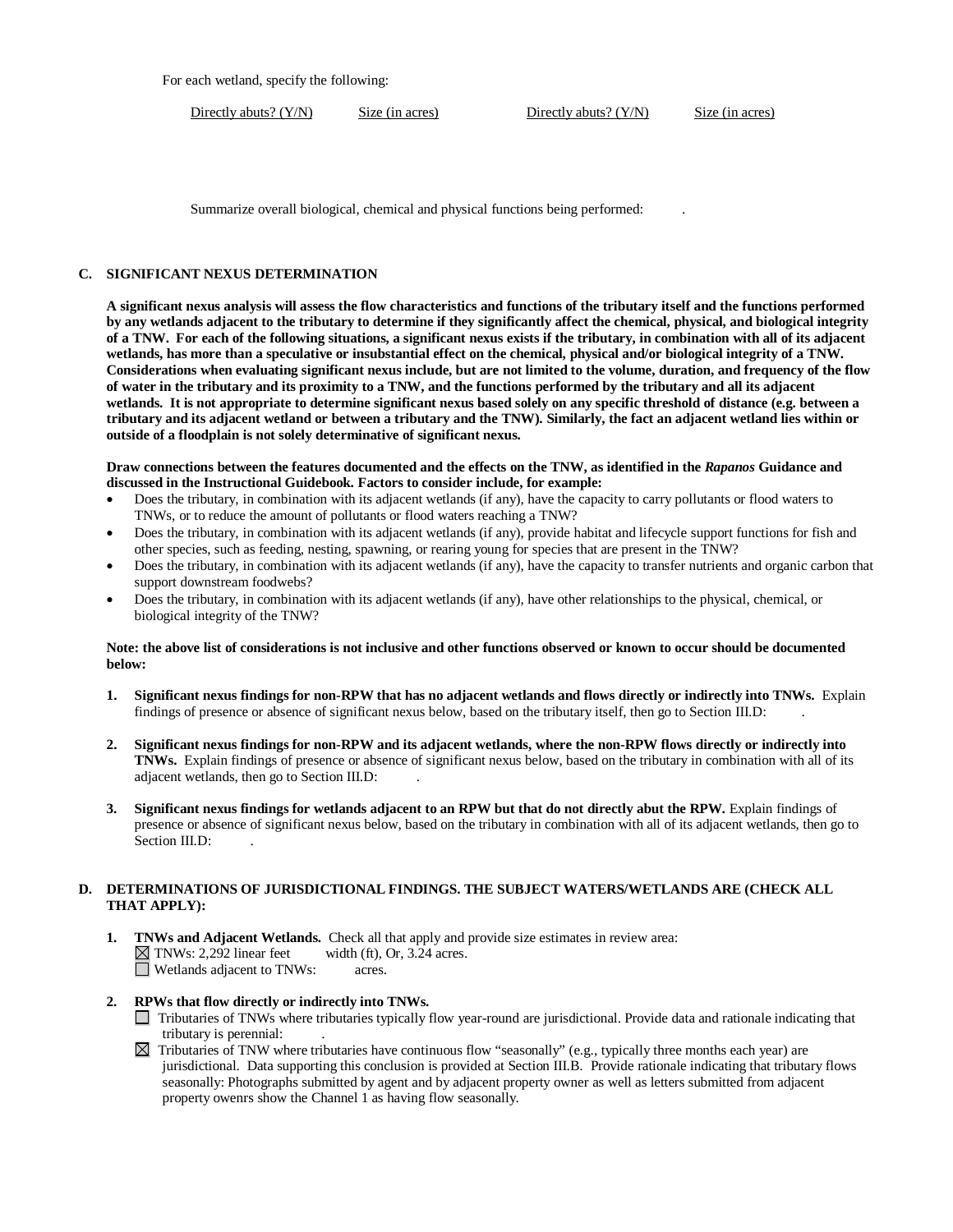For each wetland, specify the following:

Directly abuts? (Y/N) Size (in acres) Directly abuts? (Y/N) Size (in acres)

Summarize overall biological, chemical and physical functions being performed: .

# **C. SIGNIFICANT NEXUS DETERMINATION**

**A significant nexus analysis will assess the flow characteristics and functions of the tributary itself and the functions performed by any wetlands adjacent to the tributary to determine if they significantly affect the chemical, physical, and biological integrity of a TNW. For each of the following situations, a significant nexus exists if the tributary, in combination with all of its adjacent wetlands, has more than a speculative or insubstantial effect on the chemical, physical and/or biological integrity of a TNW. Considerations when evaluating significant nexus include, but are not limited to the volume, duration, and frequency of the flow of water in the tributary and its proximity to a TNW, and the functions performed by the tributary and all its adjacent wetlands. It is not appropriate to determine significant nexus based solely on any specific threshold of distance (e.g. between a tributary and its adjacent wetland or between a tributary and the TNW). Similarly, the fact an adjacent wetland lies within or outside of a floodplain is not solely determinative of significant nexus.** 

## **Draw connections between the features documented and the effects on the TNW, as identified in the** *Rapanos* **Guidance and discussed in the Instructional Guidebook. Factors to consider include, for example:**

- Does the tributary, in combination with its adjacent wetlands (if any), have the capacity to carry pollutants or flood waters to TNWs, or to reduce the amount of pollutants or flood waters reaching a TNW?
- Does the tributary, in combination with its adjacent wetlands (if any), provide habitat and lifecycle support functions for fish and other species, such as feeding, nesting, spawning, or rearing young for species that are present in the TNW?
- Does the tributary, in combination with its adjacent wetlands (if any), have the capacity to transfer nutrients and organic carbon that support downstream foodwebs?
- Does the tributary, in combination with its adjacent wetlands (if any), have other relationships to the physical, chemical, or biological integrity of the TNW?

## **Note: the above list of considerations is not inclusive and other functions observed or known to occur should be documented below:**

- **1. Significant nexus findings for non-RPW that has no adjacent wetlands and flows directly or indirectly into TNWs.** Explain findings of presence or absence of significant nexus below, based on the tributary itself, then go to Section III.D: .
- **2. Significant nexus findings for non-RPW and its adjacent wetlands, where the non-RPW flows directly or indirectly into TNWs.** Explain findings of presence or absence of significant nexus below, based on the tributary in combination with all of its adjacent wetlands, then go to Section III.D: .
- **3. Significant nexus findings for wetlands adjacent to an RPW but that do not directly abut the RPW.** Explain findings of presence or absence of significant nexus below, based on the tributary in combination with all of its adjacent wetlands, then go to Section III.D:

## **D. DETERMINATIONS OF JURISDICTIONAL FINDINGS. THE SUBJECT WATERS/WETLANDS ARE (CHECK ALL THAT APPLY):**

**1. TNWs and Adjacent Wetlands.** Check all that apply and provide size estimates in review area:  $\boxtimes$  TNWs: 2,292 linear feet width (ft), Or, 3.24 acres. TNWs: 2,292 linear feet width (ft), Or, 3.24 acres. Wetlands adjacent to TNWs: acres.

# **2. RPWs that flow directly or indirectly into TNWs.**

- Tributaries of TNWs where tributaries typically flow year-round are jurisdictional. Provide data and rationale indicating that tributary is perennial: .
- $\boxtimes$  Tributaries of TNW where tributaries have continuous flow "seasonally" (e.g., typically three months each year) are jurisdictional. Data supporting this conclusion is provided at Section III.B. Provide rationale indicating that tributary flows seasonally: Photographs submitted by agent and by adjacent property owner as well as letters submitted from adjacent property owenrs show the Channel 1 as having flow seasonally.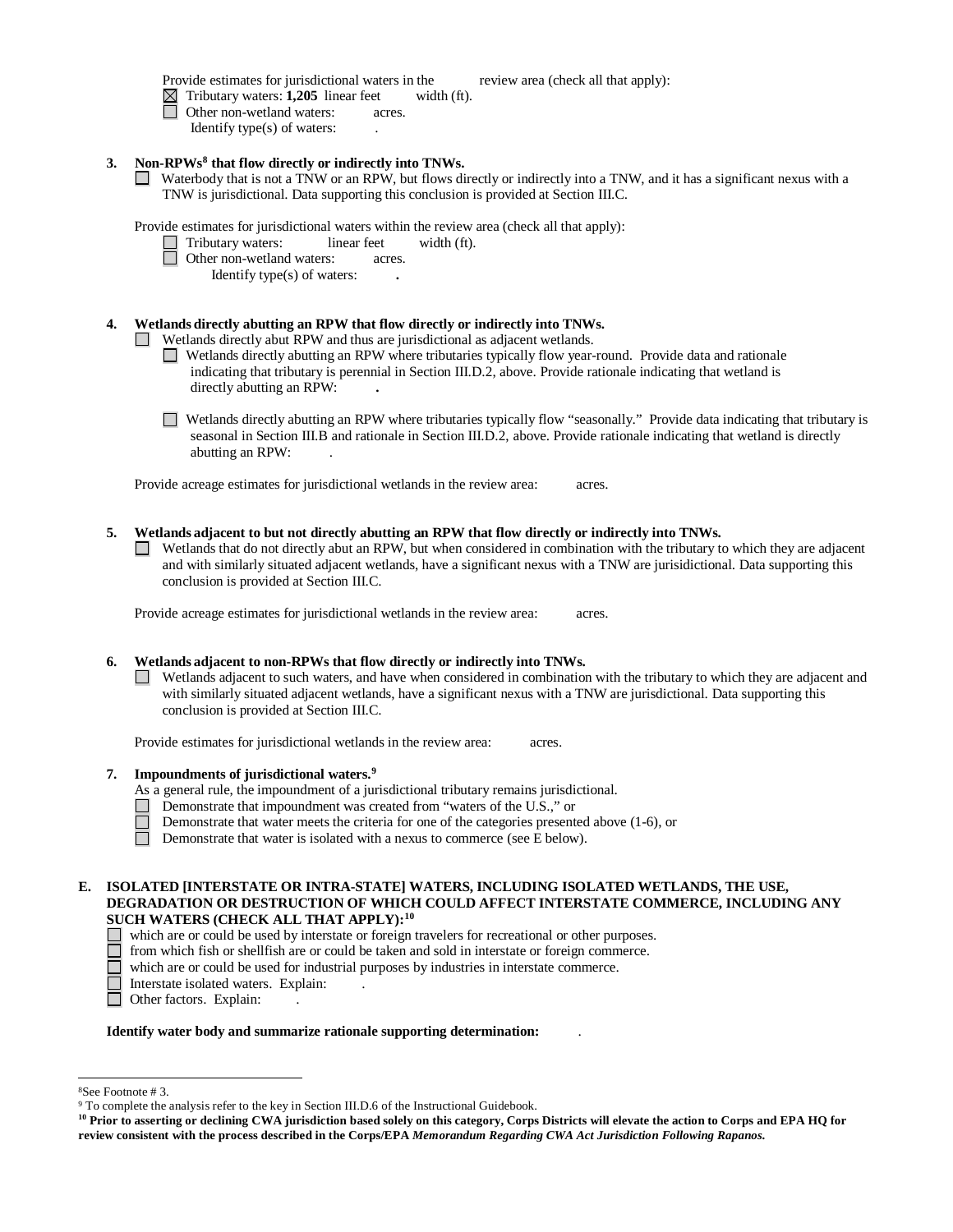Provide estimates for jurisdictional waters in the review area (check all that apply):

Tributary waters: **1,205** linear feet width (ft).

- Other non-wetland waters: acres.
	- Identify type(s) of waters: .

# **3. Non-RPW[s8](#page-7-0) that flow directly or indirectly into TNWs.**

Waterbody that is not a TNW or an RPW, but flows directly or indirectly into a TNW, and it has a significant nexus with a TNW is jurisdictional. Data supporting this conclusion is provided at Section III.C.

Provide estimates for jurisdictional waters within the review area (check all that apply):

- Tributary waters: **linear feet** width (ft).
	- Other non-wetland waters: acres.

Identify type(s) of waters: **.**

# **4. Wetlands directly abutting an RPW that flow directly or indirectly into TNWs.**

Wetlands directly abut RPW and thus are jurisdictional as adjacent wetlands.

- Wetlands directly abutting an RPW where tributaries typically flow year-round. Provide data and rationale indicating that tributary is perennial in Section III.D.2, above. Provide rationale indicating that wetland is directly abutting an RPW: **.**
- Wetlands directly abutting an RPW where tributaries typically flow "seasonally." Provide data indicating that tributary is seasonal in Section III.B and rationale in Section III.D.2, above. Provide rationale indicating that wetland is directly abutting an RPW: .

Provide acreage estimates for jurisdictional wetlands in the review area: acres.

- **5. Wetlands adjacent to but not directly abutting an RPW that flow directly or indirectly into TNWs.**
	- Wetlands that do not directly abut an RPW, but when considered in combination with the tributary to which they are adjacent **The Contract of the Contract of the Contract of the Contract of the Contract of the Contract of the Contract o** and with similarly situated adjacent wetlands, have a significant nexus with a TNW are jurisidictional. Data supporting this conclusion is provided at Section III.C.

Provide acreage estimates for jurisdictional wetlands in the review area: acres.

# **6. Wetlands adjacent to non-RPWs that flow directly or indirectly into TNWs.**

 $\Box$  Wetlands adjacent to such waters, and have when considered in combination with the tributary to which they are adjacent and with similarly situated adjacent wetlands, have a significant nexus with a TNW are jurisdictional. Data supporting this conclusion is provided at Section III.C.

Provide estimates for jurisdictional wetlands in the review area: acres.

# **7. Impoundments of jurisdictional waters. [9](#page-7-1)**

- As a general rule, the impoundment of a jurisdictional tributary remains jurisdictional.
- Demonstrate that impoundment was created from "waters of the U.S.," or
	- Demonstrate that water meets the criteria for one of the categories presented above (1-6), or

Demonstrate that water is isolated with a nexus to commerce (see E below).

# **E. ISOLATED [INTERSTATE OR INTRA-STATE] WATERS, INCLUDING ISOLATED WETLANDS, THE USE, DEGRADATION OR DESTRUCTION OF WHICH COULD AFFECT INTERSTATE COMMERCE, INCLUDING ANY SUCH WATERS (CHECK ALL THAT APPLY):[10](#page-7-2)**

- which are or could be used by interstate or foreign travelers for recreational or other purposes.
- $\Box$  from which fish or shellfish are or could be taken and sold in interstate or foreign commerce.<br>which are or could be used for industrial purposes by industries in interstate commerce.
	- which are or could be used for industrial purposes by industries in interstate commerce.
- □ Interstate isolated waters. Explain:<br>□ Other factors. Explain:
- Other factors. Explain:

# **Identify water body and summarize rationale supporting determination:** .

<span id="page-7-1"></span><span id="page-7-0"></span> <sup>8</sup>See Footnote # 3. 9 To complete the analysis refer to the key in Section III.D.6 of the Instructional Guidebook.

<span id="page-7-2"></span>**<sup>10</sup> Prior to asserting or declining CWA jurisdiction based solely on this category, Corps Districts will elevate the action to Corps and EPA HQ for review consistent with the process described in the Corps/EPA** *Memorandum Regarding CWA Act Jurisdiction Following Rapanos.*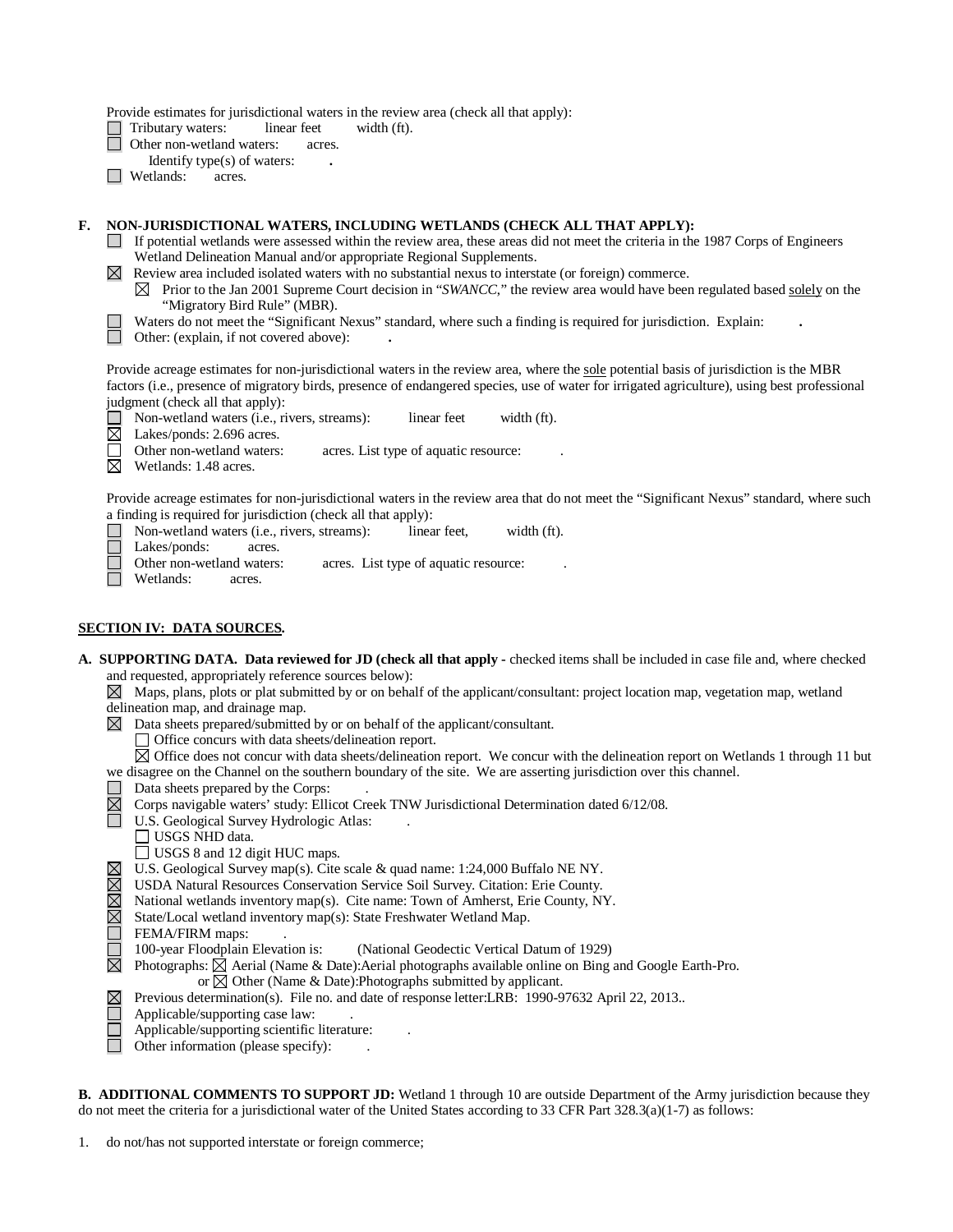Provide estimates for jurisdictional waters in the review area (check all that apply):<br>  $\Box$  Tributary waters: linear feet width (ft).

Tributary waters: linear feet width (ft).

- Other non-wetland waters: acres.
- Identify type(s) of waters: **.**
- □ Wetlands: acres.

## **F. NON-JURISDICTIONAL WATERS, INCLUDING WETLANDS (CHECK ALL THAT APPLY):**

- If potential wetlands were assessed within the review area, these areas did not meet the criteria in the 1987 Corps of Engineers Wetland Delineation Manual and/or appropriate Regional Supplements.
- Review area included isolated waters with no substantial nexus to interstate (or foreign) commerce.
	- $\boxtimes$  Prior to the Jan 2001 Supreme Court decision in "*SWANCC*," the review area would have been regulated based solely on the "Migratory Bird Rule" (MBR).
	- Waters do not meet the "Significant Nexus" standard, where such a finding is required for jurisdiction. Explain: **.**
- Other: (explain, if not covered above): **.**

Provide acreage estimates for non-jurisdictional waters in the review area, where the sole potential basis of jurisdiction is the MBR factors (i.e., presence of migratory birds, presence of endangered species, use of water for irrigated agriculture), using best professional judgment (check all that apply):

- **Non-wetland waters (i.e., rivers, streams):** linear feet width (ft). Lakes/ponds: 2.696 acres.
- Lakes/ponds: 2.696 acres. П
	- Other non-wetland waters: acres. List type of aquatic resource:
- $\boxtimes$  Wetlands: 1.48 acres.

Provide acreage estimates for non-jurisdictional waters in the review area that do not meet the "Significant Nexus" standard, where such a finding is required for jurisdiction (check all that apply):

- $\Box$ Non-wetland waters (i.e., rivers, streams): linear feet, width (ft).<br>Lakes/ponds: acres.
- $\Box$ Lakes/ponds:
	- Other non-wetland waters: acres. List type of aquatic resource:
- Wetlands: acres.

## **SECTION IV: DATA SOURCES.**

- **A. SUPPORTING DATA. Data reviewed for JD (check all that apply -** checked items shall be included in case file and, where checked and requested, appropriately reference sources below):
	- $\boxtimes$  Maps, plans, plots or plat submitted by or on behalf of the applicant/consultant: project location map, vegetation map, wetland delineation map, and drainage map.
	- $\boxtimes$  Data sheets prepared/submitted by or on behalf of the applicant/consultant.
		- Office concurs with data sheets/delineation report.
	- $\boxtimes$  Office does not concur with data sheets/delineation report. We concur with the delineation report on Wetlands 1 through 11 but we disagree on the Channel on the southern boundary of the site. We are asserting jurisdiction over this channel.
	- Data sheets prepared by the Corps: .
	- $\overline{\boxtimes}$ Corps navigable waters' study: Ellicot Creek TNW Jurisdictional Determination dated 6/12/08.
		- U.S. Geological Survey Hydrologic Atlas:
			- USGS NHD data.
			- USGS 8 and 12 digit HUC maps.
		- U.S. Geological Survey map(s). Cite scale & quad name: 1:24,000 Buffalo NE NY.
	- $\boxtimes$ USDA Natural Resources Conservation Service Soil Survey. Citation: Erie County.
	- $\boxtimes$ National wetlands inventory map(s). Cite name: Town of Amherst, Erie County, NY.
	- $\boxtimes$ State/Local wetland inventory map(s): State Freshwater Wetland Map.
	-
	- FEMA/FIRM maps:<br>100-year Floodplain Elevation is: (National Geodectic Vertical Datum of 1929)
	- $\boxtimes$  Photographs:  $\boxtimes$  Aerial (Name & Date): Aerial photographs available online on Bing and Google Earth-Pro.
		- or  $\boxtimes$  Other (Name & Date): Photographs submitted by applicant.
		- Previous determination(s). File no. and date of response letter:LRB: 1990-97632 April 22, 2013..
		- Applicable/supporting case law: .
		- Applicable/supporting scientific literature: .
		- Other information (please specify): .

| <b>B. ADDITIONAL COMMENTS TO SUPPORT JD:</b> Wetland 1 through 10 are outside Department of the Army jurisdiction because they |  |
|--------------------------------------------------------------------------------------------------------------------------------|--|
| do not meet the criteria for a jurisdictional water of the United States according to 33 CFR Part $328.3(a)(1-7)$ as follows:  |  |

1. do not/has not supported interstate or foreign commerce;